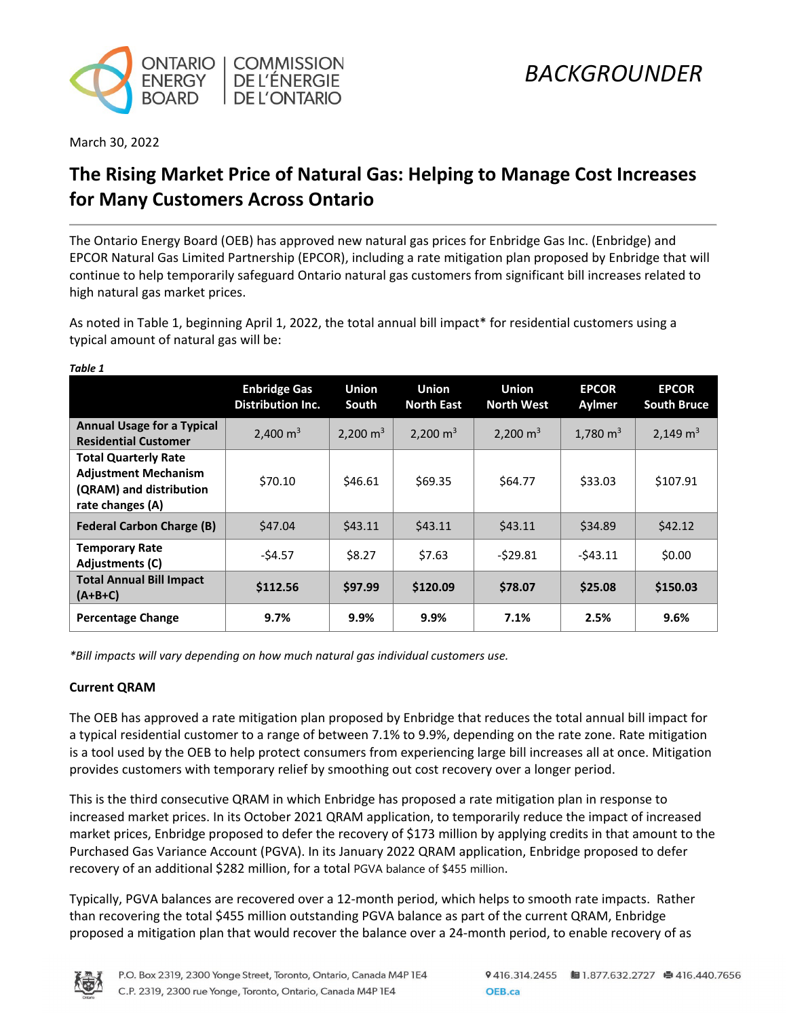

March 30, 2022

*Table 1* 

# **The Rising Market Price of Natural Gas: Helping to Manage Cost Increases for Many Customers Across Ontario**

The Ontario Energy Board (OEB) has approved new natural gas prices for Enbridge Gas Inc. (Enbridge) and EPCOR Natural Gas Limited Partnership (EPCOR), including a rate mitigation plan proposed by Enbridge that will continue to help temporarily safeguard Ontario natural gas customers from significant bill increases related to high natural gas market prices.

As noted in Table 1, beginning April 1, 2022, the total annual bill impact\* for residential customers using a typical amount of natural gas will be:

| Table 1                                                                                                   |                                                 |                       |                                   |                                   |                        |                                    |
|-----------------------------------------------------------------------------------------------------------|-------------------------------------------------|-----------------------|-----------------------------------|-----------------------------------|------------------------|------------------------------------|
|                                                                                                           | <b>Enbridge Gas</b><br><b>Distribution Inc.</b> | <b>Union</b><br>South | <b>Union</b><br><b>North East</b> | <b>Union</b><br><b>North West</b> | <b>EPCOR</b><br>Aylmer | <b>EPCOR</b><br><b>South Bruce</b> |
| <b>Annual Usage for a Typical</b><br><b>Residential Customer</b>                                          | 2,400 $m3$                                      | 2,200 $m3$            | 2,200 $m3$                        | 2,200 $m3$                        | 1,780 $m3$             | 2,149 $m3$                         |
| <b>Total Quarterly Rate</b><br><b>Adjustment Mechanism</b><br>(QRAM) and distribution<br>rate changes (A) | \$70.10                                         | \$46.61               | \$69.35                           | \$64.77                           | \$33.03                | \$107.91                           |
| <b>Federal Carbon Charge (B)</b>                                                                          | \$47.04                                         | \$43.11               | 543.11                            | \$43.11                           | \$34.89                | \$42.12                            |
| <b>Temporary Rate</b><br><b>Adjustments (C)</b>                                                           | $-54.57$                                        | \$8.27                | \$7.63                            | $-529.81$                         | $-543.11$              | \$0.00                             |
| <b>Total Annual Bill Impact</b><br>$(A+B+C)$                                                              | \$112.56                                        | \$97.99               | \$120.09                          | \$78.07                           | \$25.08                | \$150.03                           |
| <b>Percentage Change</b>                                                                                  | 9.7%                                            | 9.9%                  | 9.9%                              | 7.1%                              | 2.5%                   | 9.6%                               |

*\*Bill impacts will vary depending on how much natural gas individual customers use.*

### **Current QRAM**

The OEB has approved a rate mitigation plan proposed by Enbridge that reduces the total annual bill impact for a typical residential customer to a range of between 7.1% to 9.9%, depending on the rate zone. Rate mitigation is a tool used by the OEB to help protect consumers from experiencing large bill increases all at once. Mitigation provides customers with temporary relief by smoothing out cost recovery over a longer period.

This is the third consecutive QRAM in which Enbridge has proposed a rate mitigation plan in response to increased market prices. In its October 2021 QRAM application, to temporarily reduce the impact of increased market prices, Enbridge proposed to defer the recovery of \$173 million by applying credits in that amount to the Purchased Gas Variance Account (PGVA). In its January 2022 QRAM application, Enbridge proposed to defer recovery of an additional \$282 million, for a total PGVA balance of \$455 million.

Typically, PGVA balances are recovered over a 12-month period, which helps to smooth rate impacts. Rather than recovering the total \$455 million outstanding PGVA balance as part of the current QRAM, Enbridge proposed a mitigation plan that would recover the balance over a 24-month period, to enable recovery of as

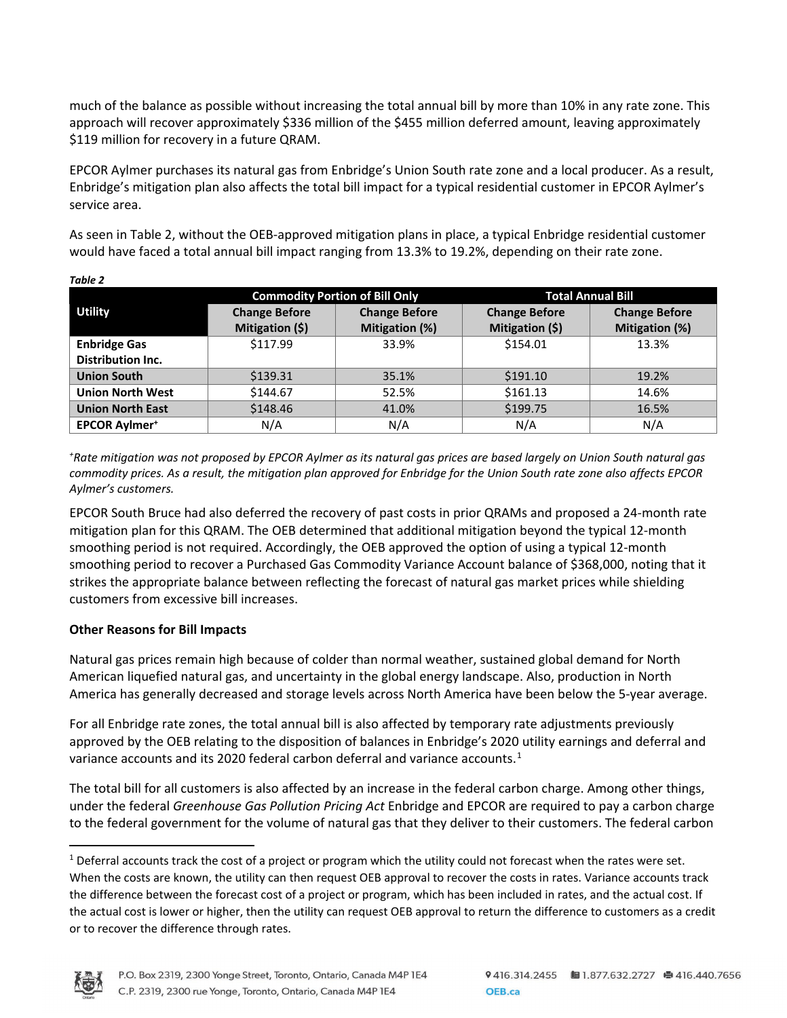much of the balance as possible without increasing the total annual bill by more than 10% in any rate zone. This approach will recover approximately \$336 million of the \$455 million deferred amount, leaving approximately \$119 million for recovery in a future QRAM.

EPCOR Aylmer purchases its natural gas from Enbridge's Union South rate zone and a local producer. As a result, Enbridge's mitigation plan also affects the total bill impact for a typical residential customer in EPCOR Aylmer's service area.

As seen in Table 2, without the OEB-approved mitigation plans in place, a typical Enbridge residential customer would have faced a total annual bill impact ranging from 13.3% to 19.2%, depending on their rate zone.

|                          |                      | <b>Commodity Portion of Bill Only</b> | <b>Total Annual Bill</b> |                      |  |
|--------------------------|----------------------|---------------------------------------|--------------------------|----------------------|--|
| <b>Utility</b>           | <b>Change Before</b> | <b>Change Before</b>                  | <b>Change Before</b>     | <b>Change Before</b> |  |
|                          | Mitigation (\$)      | Mitigation (%)                        | Mitigation (\$)          | Mitigation (%)       |  |
| <b>Enbridge Gas</b>      | \$117.99             | 33.9%                                 | \$154.01                 | 13.3%                |  |
| <b>Distribution Inc.</b> |                      |                                       |                          |                      |  |
| <b>Union South</b>       | \$139.31             | 35.1%                                 | \$191.10                 | 19.2%                |  |
| <b>Union North West</b>  | \$144.67             | 52.5%                                 | \$161.13                 | 14.6%                |  |
| <b>Union North East</b>  | \$148.46             | 41.0%                                 | \$199.75                 | 16.5%                |  |
| <b>EPCOR Aylmer*</b>     | N/A                  | N/A                                   | N/A                      | N/A                  |  |

*Table 2* 

*+ Rate mitigation was not proposed by EPCOR Aylmer as its natural gas prices are based largely on Union South natural gas commodity prices. As a result, the mitigation plan approved for Enbridge for the Union South rate zone also affects EPCOR Aylmer's customers.*

EPCOR South Bruce had also deferred the recovery of past costs in prior QRAMs and proposed a 24-month rate mitigation plan for this QRAM. The OEB determined that additional mitigation beyond the typical 12-month smoothing period is not required. Accordingly, the OEB approved the option of using a typical 12-month smoothing period to recover a Purchased Gas Commodity Variance Account balance of \$368,000, noting that it strikes the appropriate balance between reflecting the forecast of natural gas market prices while shielding customers from excessive bill increases.

### **Other Reasons for Bill Impacts**

Natural gas prices remain high because of colder than normal weather, sustained global demand for North American liquefied natural gas, and uncertainty in the global energy landscape. Also, production in North America has generally decreased and storage levels across North America have been below the 5-year average.

For all Enbridge rate zones, the total annual bill is also affected by temporary rate adjustments previously approved by the OEB relating to the disposition of balances in Enbridge's 2020 utility earnings and deferral and variance accounts and its 2020 federal carbon deferral and variance accounts.<sup>[1](#page-1-0)</sup>

The total bill for all customers is also affected by an increase in the federal carbon charge. Among other things, under the federal *Greenhouse Gas Pollution Pricing Act* Enbridge and EPCOR are required to pay a carbon charge to the federal government for the volume of natural gas that they deliver to their customers. The federal carbon

<span id="page-1-0"></span> $1$  Deferral accounts track the cost of a project or program which the utility could not forecast when the rates were set. When the costs are known, the utility can then request OEB approval to recover the costs in rates. Variance accounts track the difference between the forecast cost of a project or program, which has been included in rates, and the actual cost. If the actual cost is lower or higher, then the utility can request OEB approval to return the difference to customers as a credit or to recover the difference through rates.